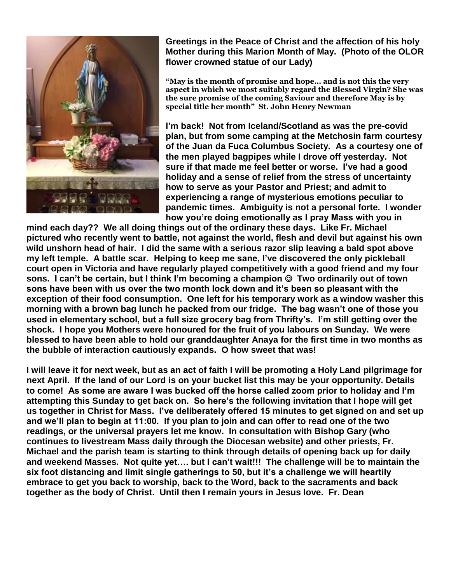

**Greetings in the Peace of Christ and the affection of his holy Mother during this Marion Month of May. (Photo of the OLOR flower crowned statue of our Lady)**

**"May is the month of promise and hope… and is not this the very aspect in which we most suitably regard the Blessed Virgin? She was the sure promise of the coming Saviour and therefore May is by special title her month" St. John Henry Newman**

**I'm back! Not from Iceland/Scotland as was the pre-covid plan, but from some camping at the Metchosin farm courtesy of the Juan da Fuca Columbus Society. As a courtesy one of the men played bagpipes while I drove off yesterday. Not sure if that made me feel better or worse. I've had a good holiday and a sense of relief from the stress of uncertainty how to serve as your Pastor and Priest; and admit to experiencing a range of mysterious emotions peculiar to pandemic times. Ambiguity is not a personal forte. I wonder how you're doing emotionally as I pray Mass with you in** 

**mind each day?? We all doing things out of the ordinary these days. Like Fr. Michael pictured who recently went to battle, not against the world, flesh and devil but against his own wild unshorn head of hair. I did the same with a serious razor slip leaving a bald spot above my left temple. A battle scar. Helping to keep me sane, I've discovered the only pickleball court open in Victoria and have regularly played competitively with a good friend and my four sons.** I can't be certain, but I think I'm becoming a champion  $\circledcirc$  Two ordinarily out of town **sons have been with us over the two month lock down and it's been so pleasant with the exception of their food consumption. One left for his temporary work as a window washer this morning with a brown bag lunch he packed from our fridge. The bag wasn't one of those you used in elementary school, but a full size grocery bag from Thrifty's. I'm still getting over the shock. I hope you Mothers were honoured for the fruit of you labours on Sunday. We were blessed to have been able to hold our granddaughter Anaya for the first time in two months as the bubble of interaction cautiously expands. O how sweet that was!**

**I will leave it for next week, but as an act of faith I will be promoting a Holy Land pilgrimage for next April. If the land of our Lord is on your bucket list this may be your opportunity. Details to come! As some are aware I was bucked off the horse called zoom prior to holiday and I'm attempting this Sunday to get back on. So here's the following invitation that I hope will get us together in Christ for Mass. I've deliberately offered 15 minutes to get signed on and set up and we'll plan to begin at 11:00. If you plan to join and can offer to read one of the two readings, or the universal prayers let me know. In consultation with Bishop Gary (who continues to livestream Mass daily through the Diocesan website) and other priests, Fr. Michael and the parish team is starting to think through details of opening back up for daily and weekend Masses. Not quite yet…. but I can't wait!!! The challenge will be to maintain the six foot distancing and limit single gatherings to 50, but it's a challenge we will heartily embrace to get you back to worship, back to the Word, back to the sacraments and back together as the body of Christ. Until then I remain yours in Jesus love. Fr. Dean**